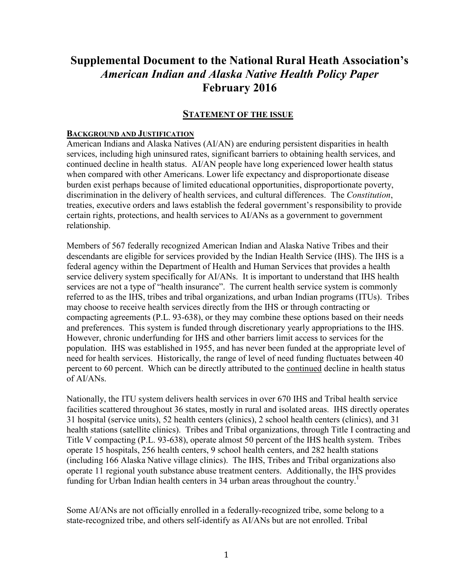## **Supplemental Document to the National Rural Heath Association's**  *American Indian and Alaska Native Health Policy Paper* **February 2016**

#### **STATEMENT OF THE ISSUE**

#### **BACKGROUND AND JUSTIFICATION**

American Indians and Alaska Natives (AI/AN) are enduring persistent disparities in health services, including high uninsured rates, significant barriers to obtaining health services, and continued decline in health status. AI/AN people have long experienced lower health status when compared with other Americans. Lower life expectancy and disproportionate disease burden exist perhaps because of limited educational opportunities, disproportionate poverty, discrimination in the delivery of health services, and cultural differences.The *Constitution*, treaties, executive orders and laws establish the federal government's responsibility to provide certain rights, protections, and health services to AI/ANs as a government to government relationship.

Members of 567 federally recognized American Indian and Alaska Native Tribes and their descendants are eligible for services provided by the Indian Health Service (IHS). The IHS is a federal agency within the Department of Health and Human Services that provides a health service delivery system specifically for AI/ANs. It is important to understand that IHS health services are not a type of "health insurance". The current health service system is commonly referred to as the IHS, tribes and tribal organizations, and urban Indian programs (ITUs). Tribes may choose to receive health services directly from the IHS or through contracting or compacting agreements (P.L. 93-638), or they may combine these options based on their needs and preferences. This system is funded through discretionary yearly appropriations to the IHS. However, chronic underfunding for IHS and other barriers limit access to services for the population. IHS was established in 1955, and has never been funded at the appropriate level of need for health services. Historically, the range of level of need funding fluctuates between 40 percent to 60 percent. Which can be directly attributed to the continued decline in health status of AI/ANs.

Nationally, the ITU system delivers health services in over 670 IHS and Tribal health service facilities scattered throughout 36 states, mostly in rural and isolated areas. IHS directly operates 31 hospital (service units), 52 health centers (clinics), 2 school health centers (clinics), and 31 health stations (satellite clinics). Tribes and Tribal organizations, through Title I contracting and Title V compacting (P.L. 93-638), operate almost 50 percent of the IHS health system. Tribes operate 15 hospitals, 256 health centers, 9 school health centers, and 282 health stations (including 166 Alaska Native village clinics). The IHS, Tribes and Tribal organizations also operate 11 regional youth substance abuse treatment centers. Additionally, the IHS provides funding for Urban Indian health centers in 34 urban areas throughout the country.<sup>1</sup>

Some AI/ANs are not officially enrolled in a federally-recognized tribe, some belong to a state-recognized tribe, and others self-identify as AI/ANs but are not enrolled. Tribal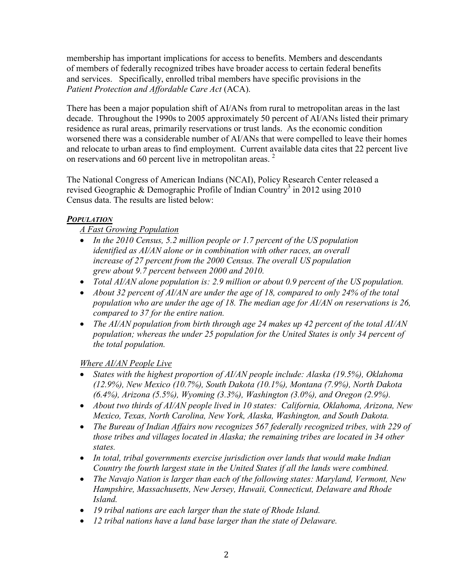membership has important implications for access to benefits. Members and descendants of members of federally recognized tribes have broader access to certain federal benefits and services. Specifically, enrolled tribal members have specific provisions in the *Patient Protection and Affordable Care Act* (ACA).

There has been a major population shift of AI/ANs from rural to metropolitan areas in the last decade. Throughout the 1990s to 2005 approximately 50 percent of AI/ANs listed their primary residence as rural areas, primarily reservations or trust lands. As the economic condition worsened there was a considerable number of AI/ANs that were compelled to leave their homes and relocate to urban areas to find employment. Current available data cites that 22 percent live on reservations and 60 percent live in metropolitan areas.<sup>2</sup>

The National Congress of American Indians (NCAI), Policy Research Center released a revised Geographic & Demographic Profile of Indian Country<sup>3</sup> in 2012 using 2010 Census data. The results are listed below:

## *POPULATION*

*A Fast Growing Population*

- *In the 2010 Census, 5.2 million people or 1.7 percent of the US population identified as AI/AN alone or in combination with other races, an overall increase of 27 percent from the 2000 Census. The overall US population grew about 9.7 percent between 2000 and 2010.*
- *Total AI/AN alone population is: 2.9 million or about 0.9 percent of the US population.*
- *About 32 percent of AI/AN are under the age of 18, compared to only 24% of the total population who are under the age of 18. The median age for AI/AN on reservations is 26, compared to 37 for the entire nation.*
- *The AI/AN population from birth through age 24 makes up 42 percent of the total AI/AN population; whereas the under 25 population for the United States is only 34 percent of the total population.*

*Where AI/AN People Live*

- States with the highest proportion of AI/AN people include: Alaska (19.5%), Oklahoma *(12.9%), New Mexico (10.7%), South Dakota (10.1%), Montana (7.9%), North Dakota (6.4%), Arizona (5.5%), Wyoming (3.3%), Washington (3.0%), and Oregon (2.9%).*
- *About two thirds of AI/AN people lived in 10 states: California, Oklahoma, Arizona, New Mexico, Texas, North Carolina, New York, Alaska, Washington, and South Dakota.*
- *The Bureau of Indian Affairs now recognizes 567 federally recognized tribes, with 229 of those tribes and villages located in Alaska; the remaining tribes are located in 34 other states.*
- *In total, tribal governments exercise jurisdiction over lands that would make Indian Country the fourth largest state in the United States if all the lands were combined.*
- *The Navajo Nation is larger than each of the following states: Maryland, Vermont, New Hampshire, Massachusetts, New Jersey, Hawaii, Connecticut, Delaware and Rhode Island.*
- *19 tribal nations are each larger than the state of Rhode Island.*
- *12 tribal nations have a land base larger than the state of Delaware.*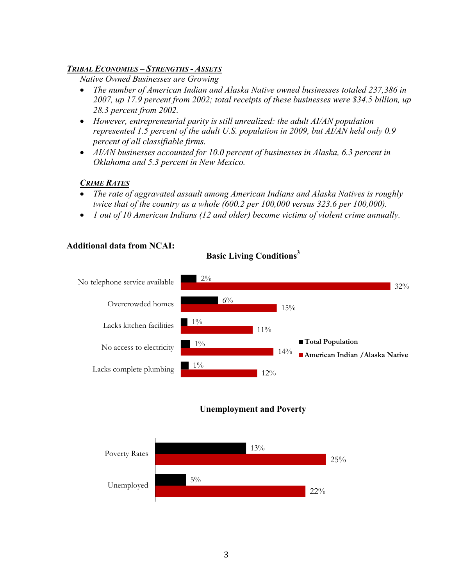#### *TRIBAL ECONOMIES – STRENGTHS - ASSETS*

*Native Owned Businesses are Growing*

- *The number of American Indian and Alaska Native owned businesses totaled 237,386 in 2007, up 17.9 percent from 2002; total receipts of these businesses were \$34.5 billion, up 28.3 percent from 2002.*
- *However, entrepreneurial parity is still unrealized: the adult AI/AN population represented 1.5 percent of the adult U.S. population in 2009, but AI/AN held only 0.9 percent of all classifiable firms.*
- *AI/AN businesses accounted for 10.0 percent of businesses in Alaska, 6.3 percent in Oklahoma and 5.3 percent in New Mexico.*

#### *CRIME RATES*

- *The rate of aggravated assault among American Indians and Alaska Natives is roughly twice that of the country as a whole (600.2 per 100,000 versus 323.6 per 100,000).*
- *1 out of 10 American Indians (12 and older) become victims of violent crime annually.*

#### **Additional data from NCAI:**



## **Basic Living Conditions<sup>3</sup>**



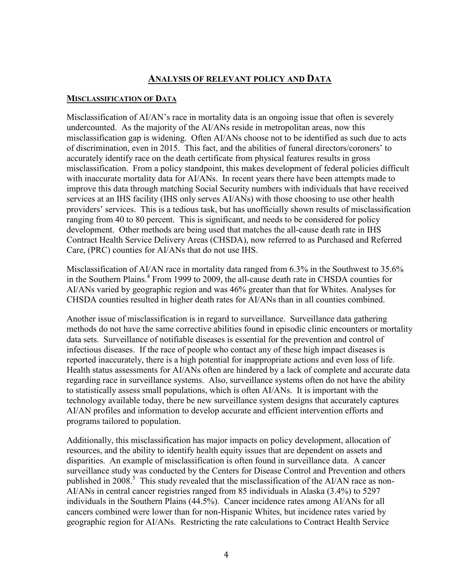## **ANALYSIS OF RELEVANT POLICY AND DATA**

#### **MISCLASSIFICATION OF DATA**

Misclassification of AI/AN's race in mortality data is an ongoing issue that often is severely undercounted. As the majority of the AI/ANs reside in metropolitan areas, now this misclassification gap is widening. Often AI/ANs choose not to be identified as such due to acts of discrimination, even in 2015. This fact, and the abilities of funeral directors/coroners' to accurately identify race on the death certificate from physical features results in gross misclassification. From a policy standpoint, this makes development of federal policies difficult with inaccurate mortality data for AI/ANs. In recent years there have been attempts made to improve this data through matching Social Security numbers with individuals that have received services at an IHS facility (IHS only serves AI/ANs) with those choosing to use other health providers' services. This is a tedious task, but has unofficially shown results of misclassification ranging from 40 to 80 percent. This is significant, and needs to be considered for policy development. Other methods are being used that matches the all-cause death rate in IHS Contract Health Service Delivery Areas (CHSDA), now referred to as Purchased and Referred Care, (PRC) counties for AI/ANs that do not use IHS.

Misclassification of AI/AN race in mortality data ranged from 6.3% in the Southwest to 35.6% in the Southern Plains.<sup>4</sup> From 1999 to 2009, the all-cause death rate in CHSDA counties for AI/ANs varied by geographic region and was 46% greater than that for Whites. Analyses for CHSDA counties resulted in higher death rates for AI/ANs than in all counties combined.

Another issue of misclassification is in regard to surveillance. Surveillance data gathering methods do not have the same corrective abilities found in episodic clinic encounters or mortality data sets. Surveillance of notifiable diseases is essential for the prevention and control of infectious diseases. If the race of people who contact any of these high impact diseases is reported inaccurately, there is a high potential for inappropriate actions and even loss of life. Health status assessments for AI/ANs often are hindered by a lack of complete and accurate data regarding race in surveillance systems. Also, surveillance systems often do not have the ability to statistically assess small populations, which is often AI/ANs. It is important with the technology available today, there be new surveillance system designs that accurately captures AI/AN profiles and information to develop accurate and efficient intervention efforts and programs tailored to population.

Additionally, this misclassification has major impacts on policy development, allocation of resources, and the ability to identify health equity issues that are dependent on assets and disparities. An example of misclassification is often found in surveillance data. A cancer surveillance study was conducted by the Centers for Disease Control and Prevention and others published in 2008.<sup>5</sup> This study revealed that the misclassification of the AI/AN race as non-AI/ANs in central cancer registries ranged from 85 individuals in Alaska (3.4%) to 5297 individuals in the Southern Plains (44.5%). Cancer incidence rates among AI/ANs for all cancers combined were lower than for non-Hispanic Whites, but incidence rates varied by geographic region for AI/ANs. Restricting the rate calculations to Contract Health Service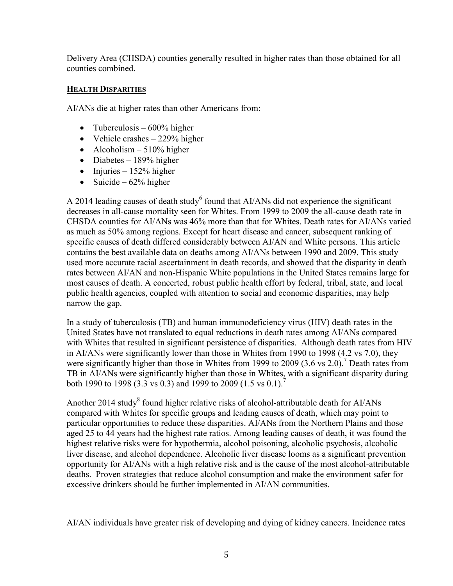Delivery Area (CHSDA) counties generally resulted in higher rates than those obtained for all counties combined.

## **HEALTH DISPARITIES**

AI/ANs die at higher rates than other Americans from:

- Tuberculosis  $600\%$  higher
- Vehicle crashes  $-229%$  higher
- Alcoholism  $-510\%$  higher
- Diabetes  $189%$  higher
- $\bullet$  Injuries 152% higher
- Suicide  $62\%$  higher

A 2014 leading causes of death study<sup>6</sup> found that AI/ANs did not experience the significant decreases in all-cause mortality seen for Whites. From 1999 to 2009 the all-cause death rate in CHSDA counties for AI/ANs was 46% more than that for Whites. Death rates for AI/ANs varied as much as 50% among regions. Except for heart disease and cancer, subsequent ranking of specific causes of death differed considerably between AI/AN and White persons. This article contains the best available data on deaths among AI/ANs between 1990 and 2009. This study used more accurate racial ascertainment in death records, and showed that the disparity in death rates between AI/AN and non-Hispanic White populations in the United States remains large for most causes of death. A concerted, robust public health effort by federal, tribal, state, and local public health agencies, coupled with attention to social and economic disparities, may help narrow the gap.

In a study of tuberculosis (TB) and human immunodeficiency virus (HIV) death rates in the United States have not translated to equal reductions in death rates among AI/ANs compared with Whites that resulted in significant persistence of disparities. Although death rates from HIV in AI/ANs were significantly lower than those in Whites from 1990 to 1998 (4.2 vs 7.0), they were significantly higher than those in Whites from 1999 to 2009 (3.6 vs 2.0).<sup>7</sup> Death rates from TB in AI/ANs were significantly higher than those in Whites, with a significant disparity during both 1990 to 1998 (3.3 vs 0.3) and 1999 to 2009 (1.5 vs 0.1).<sup>7</sup>

Another 2014 study<sup>8</sup> found higher relative risks of alcohol-attributable death for AI/ANs compared with Whites for specific groups and leading causes of death, which may point to particular opportunities to reduce these disparities. AI/ANs from the Northern Plains and those aged 25 to 44 years had the highest rate ratios. Among leading causes of death, it was found the highest relative risks were for hypothermia, alcohol poisoning, alcoholic psychosis, alcoholic liver disease, and alcohol dependence. Alcoholic liver disease looms as a significant prevention opportunity for AI/ANs with a high relative risk and is the cause of the most alcohol-attributable deaths. Proven strategies that reduce alcohol consumption and make the environment safer for excessive drinkers should be further implemented in AI/AN communities.

AI/AN individuals have greater risk of developing and dying of kidney cancers. Incidence rates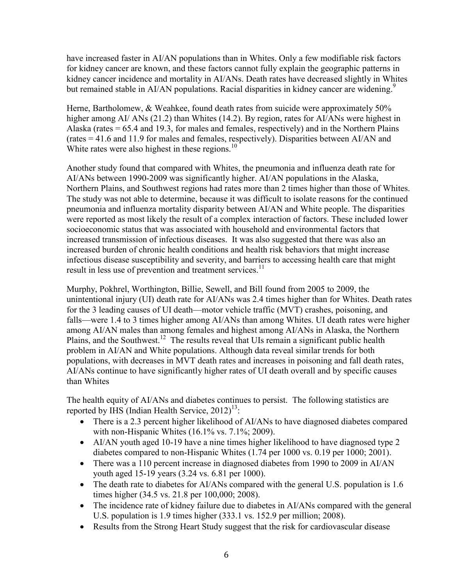have increased faster in AI/AN populations than in Whites. Only a few modifiable risk factors for kidney cancer are known, and these factors cannot fully explain the geographic patterns in kidney cancer incidence and mortality in AI/ANs. Death rates have decreased slightly in Whites but remained stable in AI/AN populations. Racial disparities in kidney cancer are widening.<sup>9</sup>

Herne, Bartholomew, & Weahkee, found death rates from suicide were approximately 50% higher among AI/ ANs (21.2) than Whites (14.2). By region, rates for AI/ANs were highest in Alaska (rates = 65.4 and 19.3, for males and females, respectively) and in the Northern Plains (rates = 41.6 and 11.9 for males and females, respectively). Disparities between AI/AN and White rates were also highest in these regions.<sup>10</sup>

Another study found that compared with Whites, the pneumonia and influenza death rate for AI/ANs between 1990-2009 was significantly higher. AI/AN populations in the Alaska, Northern Plains, and Southwest regions had rates more than 2 times higher than those of Whites. The study was not able to determine, because it was difficult to isolate reasons for the continued pneumonia and influenza mortality disparity between AI/AN and White people. The disparities were reported as most likely the result of a complex interaction of factors. These included lower socioeconomic status that was associated with household and environmental factors that increased transmission of infectious diseases. It was also suggested that there was also an increased burden of chronic health conditions and health risk behaviors that might increase infectious disease susceptibility and severity, and barriers to accessing health care that might result in less use of prevention and treatment services.<sup>11</sup>

Murphy, Pokhrel, Worthington, Billie, Sewell, and Bill found from 2005 to 2009, the unintentional injury (UI) death rate for AI/ANs was 2.4 times higher than for Whites. Death rates for the 3 leading causes of UI death—motor vehicle traffic (MVT) crashes, poisoning, and falls—were 1.4 to 3 times higher among AI/ANs than among Whites. UI death rates were higher among AI/AN males than among females and highest among AI/ANs in Alaska, the Northern Plains, and the Southwest.<sup>12</sup> The results reveal that UIs remain a significant public health problem in AI/AN and White populations. Although data reveal similar trends for both populations, with decreases in MVT death rates and increases in poisoning and fall death rates, AI/ANs continue to have significantly higher rates of UI death overall and by specific causes than Whites

The health equity of AI/ANs and diabetes continues to persist. The following statistics are reported by IHS (Indian Health Service,  $2012$ )<sup>13</sup>:

- There is a 2.3 percent higher likelihood of AI/ANs to have diagnosed diabetes compared with non-Hispanic Whites (16.1% vs. 7.1%; 2009).
- AI/AN youth aged 10-19 have a nine times higher likelihood to have diagnosed type 2 diabetes compared to non-Hispanic Whites (1.74 per 1000 vs. 0.19 per 1000; 2001).
- There was a 110 percent increase in diagnosed diabetes from 1990 to 2009 in AI/AN youth aged 15-19 years (3.24 vs. 6.81 per 1000).
- The death rate to diabetes for AI/ANs compared with the general U.S. population is 1.6 times higher (34.5 vs. 21.8 per 100,000; 2008).
- The incidence rate of kidney failure due to diabetes in AI/ANs compared with the general U.S. population is 1.9 times higher (333.1 vs. 152.9 per million; 2008).
- Results from the Strong Heart Study suggest that the risk for cardiovascular disease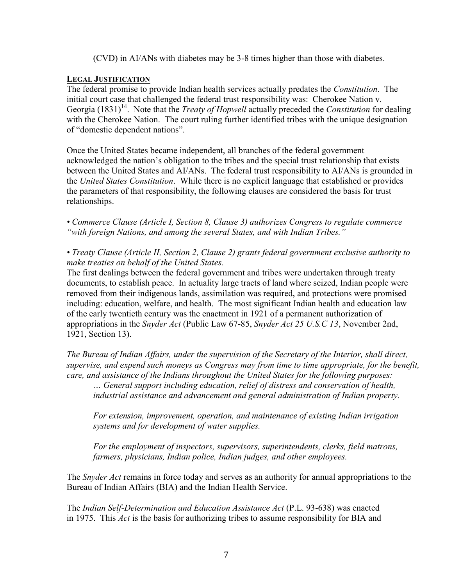(CVD) in AI/ANs with diabetes may be 3-8 times higher than those with diabetes.

#### **LEGAL JUSTIFICATION**

The federal promise to provide Indian health services actually predates the *Constitution*. The initial court case that challenged the federal trust responsibility was: Cherokee Nation v. Georgia (1831)<sup>14</sup>. Note that the *Treaty of Hopwell* actually preceded the *Constitution* for dealing with the Cherokee Nation. The court ruling further identified tribes with the unique designation of "domestic dependent nations".

Once the United States became independent, all branches of the federal government acknowledged the nation's obligation to the tribes and the special trust relationship that exists between the United States and AI/ANs. The federal trust responsibility to AI/ANs is grounded in the *United States Constitution*. While there is no explicit language that established or provides the parameters of that responsibility, the following clauses are considered the basis for trust relationships.

*• Commerce Clause (Article I, Section 8, Clause 3) authorizes Congress to regulate commerce "with foreign Nations, and among the several States, and with Indian Tribes."* 

*• Treaty Clause (Article II, Section 2, Clause 2) grants federal government exclusive authority to make treaties on behalf of the United States.* 

The first dealings between the federal government and tribes were undertaken through treaty documents, to establish peace. In actuality large tracts of land where seized, Indian people were removed from their indigenous lands, assimilation was required, and protections were promised including: education, welfare, and health. The most significant Indian health and education law of the early twentieth century was the enactment in 1921 of a permanent authorization of appropriations in the *Snyder Act* (Public Law 67-85, *Snyder Act 25 U.S.C 13*, November 2nd, 1921, Section 13).

*The Bureau of Indian Affairs, under the supervision of the Secretary of the Interior, shall direct, supervise, and expend such moneys as Congress may from time to time appropriate, for the benefit, care, and assistance of the Indians throughout the United States for the following purposes:*

*… General support including education, relief of distress and conservation of health, industrial assistance and advancement and general administration of Indian property.*

*For extension, improvement, operation, and maintenance of existing Indian irrigation systems and for development of water supplies.*

*For the employment of inspectors, supervisors, superintendents, clerks, field matrons, farmers, physicians, Indian police, Indian judges, and other employees.*

The *Snyder Act* remains in force today and serves as an authority for annual appropriations to the Bureau of Indian Affairs (BIA) and the Indian Health Service.

The *Indian Self-Determination and Education Assistance Act* (P.L. 93-638) was enacted in 1975. This *Act* is the basis for authorizing tribes to assume responsibility for BIA and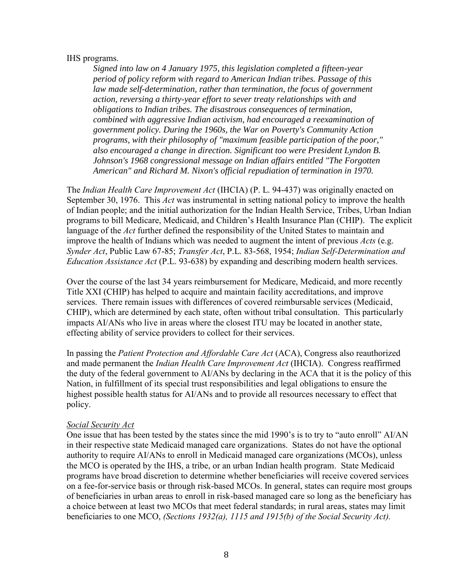#### IHS programs.

*Signed into law on 4 January 1975, this legislation completed a fifteen-year period of policy reform with regard to American Indian tribes. Passage of this law made self-determination, rather than termination, the focus of government action, reversing a thirty-year effort to sever treaty relationships with and obligations to Indian tribes. The disastrous consequences of termination, combined with aggressive Indian activism, had encouraged a reexamination of government policy. During the 1960s, the War on Poverty's Community Action programs, with their philosophy of "maximum [feasible](http://www.answers.com/topic/feasible) participation of the poor," also encouraged a change in direction. Significant too were President Lyndon B. Johnson's 1968 congressional message on Indian affairs entitled "The Forgotten American" and Richard M. Nixon's official [repudiation](http://www.answers.com/topic/repudiation) of termination in 1970.*

The *Indian Health Care Improvement Act* (IHCIA) (P. L. 94-437) was originally enacted on September 30, 1976. This *Act* was instrumental in setting national policy to improve the health of Indian people; and the initial authorization for the Indian Health Service, Tribes, Urban Indian programs to bill Medicare, Medicaid, and Children's Health Insurance Plan (CHIP). The explicit language of the *Act* further defined the responsibility of the United States to maintain and improve the health of Indians which was needed to augment the intent of previous *Acts* (e.g. *Synder Act*, Public Law 67-85; *Transfer Act*, P.L. 83-568, 1954; *Indian Self-Determination and Education Assistance Act* (P.L. 93-638) by expanding and describing modern health services.

Over the course of the last 34 years reimbursement for Medicare, Medicaid, and more recently Title XXI (CHIP) has helped to acquire and maintain facility accreditations, and improve services. There remain issues with differences of covered reimbursable services (Medicaid, CHIP), which are determined by each state, often without tribal consultation. This particularly impacts AI/ANs who live in areas where the closest ITU may be located in another state, effecting ability of service providers to collect for their services.

In passing the *Patient Protection and Affordable Care Act* (ACA), Congress also reauthorized and made permanent the *Indian Health Care Improvement Act* (IHCIA). Congress reaffirmed the duty of the federal government to AI/ANs by declaring in the ACA that it is the policy of this Nation, in fulfillment of its special trust responsibilities and legal obligations to ensure the highest possible health status for AI/ANs and to provide all resources necessary to effect that policy.

#### *Social Security Act*

One issue that has been tested by the states since the mid 1990's is to try to "auto enroll" AI/AN in their respective state Medicaid managed care organizations. States do not have the optional authority to require AI/ANs to enroll in Medicaid managed care organizations (MCOs), unless the MCO is operated by the IHS, a tribe, or an urban Indian health program.State Medicaid programs have broad discretion to determine whether beneficiaries will receive covered services on a fee-for-service basis or through risk-based MCOs. In general, states can require most groups of beneficiaries in urban areas to enroll in risk-based managed care so long as the beneficiary has a choice between at least two MCOs that meet federal standards; in rural areas, states may limit beneficiaries to one MCO, *(Sections 1932(a), 1115 and 1915(b) of the Social Security Act).*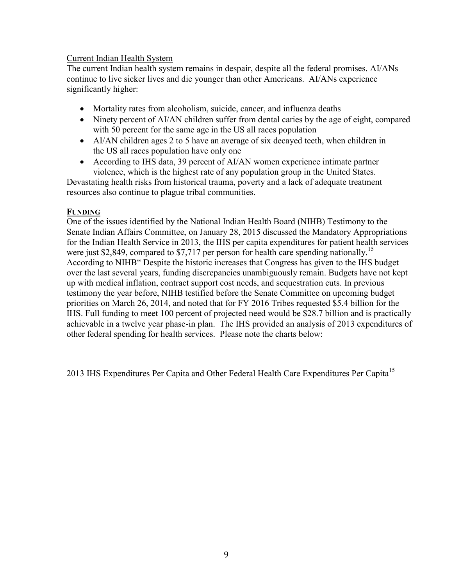#### Current Indian Health System

The current Indian health system remains in despair, despite all the federal promises. AI/ANs continue to live sicker lives and die younger than other Americans. AI/ANs experience significantly higher:

- Mortality rates from alcoholism, suicide, cancer, and influenza deaths
- Ninety percent of AI/AN children suffer from dental caries by the age of eight, compared with 50 percent for the same age in the US all races population
- AI/AN children ages 2 to 5 have an average of six decayed teeth, when children in the US all races population have only one
- According to IHS data, 39 percent of AI/AN women experience intimate partner violence, which is the highest rate of any population group in the United States.

Devastating health risks from historical trauma, poverty and a lack of adequate treatment resources also continue to plague tribal communities.

#### **FUNDING**

One of the issues identified by the National Indian Health Board (NIHB) Testimony to the Senate Indian Affairs Committee, on January 28, 2015 discussed the Mandatory Appropriations for the Indian Health Service in 2013, the IHS per capita expenditures for patient health services were just \$2,849, compared to \$7,717 per person for health care spending nationally.<sup>15</sup> According to NIHB" Despite the historic increases that Congress has given to the IHS budget over the last several years, funding discrepancies unambiguously remain. Budgets have not kept up with medical inflation, contract support cost needs, and sequestration cuts. In previous testimony the year before, NIHB testified before the Senate Committee on upcoming budget priorities on March 26, 2014, and noted that for FY 2016 Tribes requested \$5.4 billion for the IHS. Full funding to meet 100 percent of projected need would be \$28.7 billion and is practically achievable in a twelve year phase-in plan. The IHS provided an analysis of 2013 expenditures of other federal spending for health services. Please note the charts below:

2013 IHS Expenditures Per Capita and Other Federal Health Care Expenditures Per Capita<sup>15</sup>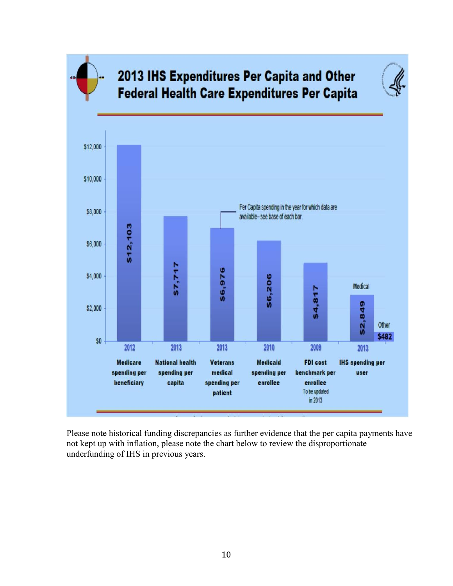

# 2013 IHS Expenditures Per Capita and Other **Federal Health Care Expenditures Per Capita**



Please note historical funding discrepancies as further evidence that the per capita payments have not kept up with inflation, please note the chart below to review the disproportionate underfunding of IHS in previous years.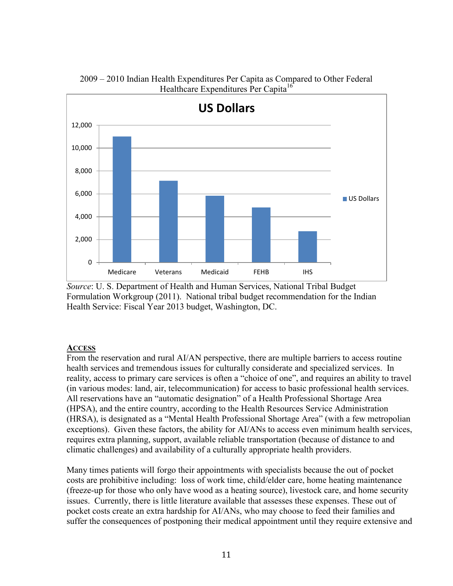

2009 – 2010 Indian Health Expenditures Per Capita as Compared to Other Federal Healthcare Expenditures Per Capita<sup>16</sup>

#### **ACCESS**

From the reservation and rural AI/AN perspective, there are multiple barriers to access routine health services and tremendous issues for culturally considerate and specialized services. In reality, access to primary care services is often a "choice of one", and requires an ability to travel (in various modes: land, air, telecommunication) for access to basic professional health services. All reservations have an "automatic designation" of a Health Professional Shortage Area (HPSA), and the entire country, according to the Health Resources Service Administration (HRSA), is designated as a "Mental Health Professional Shortage Area" (with a few metropolian exceptions). Given these factors, the ability for AI/ANs to access even minimum health services, requires extra planning, support, available reliable transportation (because of distance to and climatic challenges) and availability of a culturally appropriate health providers.

Many times patients will forgo their appointments with specialists because the out of pocket costs are prohibitive including: loss of work time, child/elder care, home heating maintenance (freeze-up for those who only have wood as a heating source), livestock care, and home security issues. Currently, there is little literature available that assesses these expenses. These out of pocket costs create an extra hardship for AI/ANs, who may choose to feed their families and suffer the consequences of postponing their medical appointment until they require extensive and

*Source*: U. S. Department of Health and Human Services, National Tribal Budget Formulation Workgroup (2011). National tribal budget recommendation for the Indian Health Service: Fiscal Year 2013 budget, Washington, DC.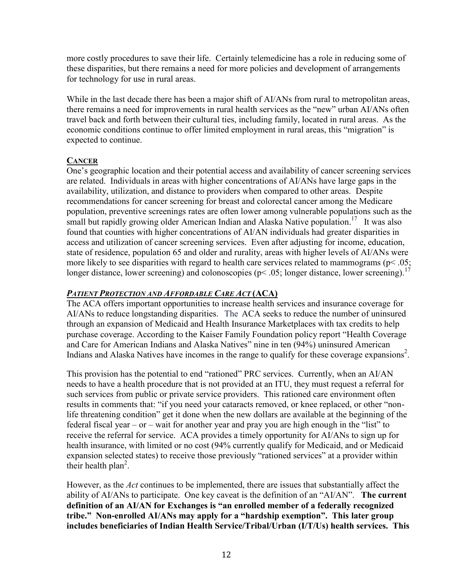more costly procedures to save their life. Certainly telemedicine has a role in reducing some of these disparities, but there remains a need for more policies and development of arrangements for technology for use in rural areas.

While in the last decade there has been a major shift of AI/ANs from rural to metropolitan areas, there remains a need for improvements in rural health services as the "new" urban AI/ANs often travel back and forth between their cultural ties, including family, located in rural areas. As the economic conditions continue to offer limited employment in rural areas, this "migration" is expected to continue.

#### **CANCER**

One's geographic location and their potential access and availability of cancer screening services are related. Individuals in areas with higher concentrations of AI/ANs have large gaps in the availability, utilization, and distance to providers when compared to other areas. Despite recommendations for cancer screening for breast and colorectal cancer among the Medicare population, preventive screenings rates are often lower among vulnerable populations such as the small but rapidly growing older American Indian and Alaska Native population.<sup>17</sup> It was also found that counties with higher concentrations of AI/AN individuals had greater disparities in access and utilization of cancer screening services. Even after adjusting for income, education, state of residence, population 65 and older and rurality, areas with higher levels of AI/ANs were more likely to see disparities with regard to health care services related to mammograms ( $p$ < .05; longer distance, lower screening) and colonoscopies ( $p$ < .05; longer distance, lower screening).<sup>17</sup>

#### *PATIENT PROTECTION AND AFFORDABLE CARE ACT* **(ACA)**

The ACA offers important opportunities to increase health services and insurance coverage for AI/ANs to reduce longstanding disparities. The ACA seeks to reduce the number of uninsured through an expansion of Medicaid and Health Insurance Marketplaces with tax credits to help purchase coverage. According to the Kaiser Family Foundation policy report "Health Coverage and Care for American Indians and Alaska Natives" nine in ten (94%) uninsured American Indians and Alaska Natives have incomes in the range to qualify for these coverage expansions<sup>2</sup>.

This provision has the potential to end "rationed" PRC services. Currently, when an AI/AN needs to have a health procedure that is not provided at an ITU, they must request a referral for such services from public or private service providers. This rationed care environment often results in comments that: "if you need your cataracts removed, or knee replaced, or other "nonlife threatening condition" get it done when the new dollars are available at the beginning of the federal fiscal year – or – wait for another year and pray you are high enough in the "list" to receive the referral for service. ACA provides a timely opportunity for AI/ANs to sign up for health insurance, with limited or no cost (94% currently qualify for Medicaid, and or Medicaid expansion selected states) to receive those previously "rationed services" at a provider within their health plan<sup>2</sup>.

However, as the *Act* continues to be implemented, there are issues that substantially affect the ability of AI/ANs to participate. One key caveat is the definition of an "AI/AN". **The current definition of an AI/AN for Exchanges is "an enrolled member of a federally recognized tribe." Non-enrolled AI/ANs may apply for a "hardship exemption". This later group includes beneficiaries of Indian Health Service/Tribal/Urban (I/T/Us) health services. This**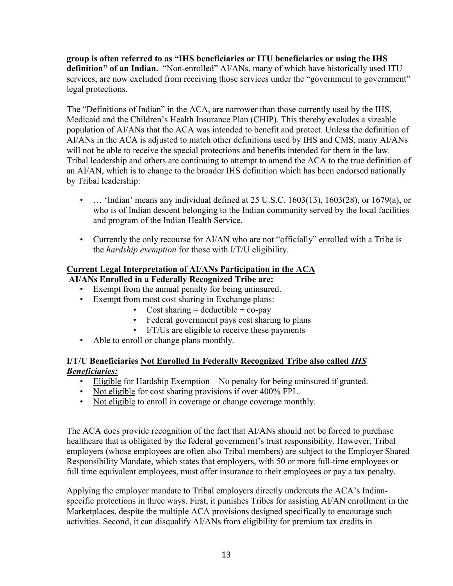**group is often referred to as "IHS beneficiaries or ITU beneficiaries or using the IHS definition" of an Indian.** "Non-enrolled" AI/ANs, many of which have historically used ITU services, are now excluded from receiving those services under the "government to government" legal protections.

The "Definitions of Indian" in the ACA, are narrower than those currently used by the IHS, Medicaid and the Children's Health Insurance Plan (CHIP). This thereby excludes a sizeable population of AI/ANs that the ACA was intended to benefit and protect. Unless the definition of AI/ANs in the ACA is adjusted to match other definitions used by IHS and CMS, many AI/ANs will not be able to receive the special protections and benefits intended for them in the law. Tribal leadership and others are continuing to attempt to amend the ACA to the true definition of an AI/AN, which is to change to the broader IHS definition which has been endorsed nationally by Tribal leadership:

- … 'Indian' means any individual defined at 25 U.S.C. 1603(13), 1603(28), or 1679(a), or who is of Indian descent belonging to the Indian community served by the local facilities and program of the Indian Health Service.
- Currently the only recourse for AI/AN who are not "officially" enrolled with a Tribe is the *hardship exemption* for those with I/T/U eligibility.

## **Current Legal Interpretation of AI/ANs Participation in the ACA**

**AI/ANs Enrolled in a Federally Recognized Tribe are:** 

- Exempt from the annual penalty for being uninsured.
- Exempt from most cost sharing in Exchange plans:
	- Cost sharing  $=$  deductible  $+$  co-pay
		- Federal government pays cost sharing to plans
	- I/T/Us are eligible to receive these payments
- Able to enroll or change plans monthly.

#### **I/T/U Beneficiaries Not Enrolled In Federally Recognized Tribe also called** *IHS Beneficiaries:*

- Eligible for Hardship Exemption No penalty for being uninsured if granted.
- Not eligible for cost sharing provisions if over 400% FPL.
- Not eligible to enroll in coverage or change coverage monthly.

The ACA does provide recognition of the fact that AI/ANs should not be forced to purchase healthcare that is obligated by the federal government's trust responsibility. However, Tribal employers (whose employees are often also Tribal members) are subject to the Employer Shared Responsibility Mandate, which states that employers, with 50 or more full-time employees or full time equivalent employees, must offer insurance to their employees or pay a tax penalty.

Applying the employer mandate to Tribal employers directly undercuts the ACA's Indianspecific protections in three ways. First, it punishes Tribes for assisting AI/AN enrollment in the Marketplaces, despite the multiple ACA provisions designed specifically to encourage such activities. Second, it can disqualify AI/ANs from eligibility for premium tax credits in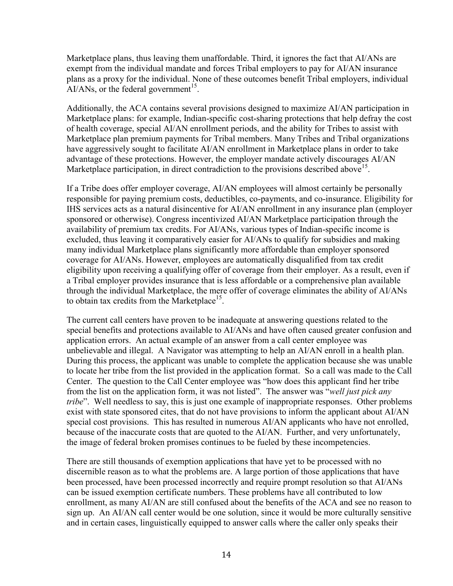Marketplace plans, thus leaving them unaffordable. Third, it ignores the fact that AI/ANs are exempt from the individual mandate and forces Tribal employers to pay for AI/AN insurance plans as a proxy for the individual. None of these outcomes benefit Tribal employers, individual  $AI/ANS$ , or the federal government<sup>15</sup>.

Additionally, the ACA contains several provisions designed to maximize AI/AN participation in Marketplace plans: for example, Indian-specific cost-sharing protections that help defray the cost of health coverage, special AI/AN enrollment periods, and the ability for Tribes to assist with Marketplace plan premium payments for Tribal members. Many Tribes and Tribal organizations have aggressively sought to facilitate AI/AN enrollment in Marketplace plans in order to take advantage of these protections. However, the employer mandate actively discourages AI/AN Marketplace participation, in direct contradiction to the provisions described above<sup>15</sup>.

If a Tribe does offer employer coverage, AI/AN employees will almost certainly be personally responsible for paying premium costs, deductibles, co-payments, and co-insurance. Eligibility for IHS services acts as a natural disincentive for AI/AN enrollment in any insurance plan (employer sponsored or otherwise). Congress incentivized AI/AN Marketplace participation through the availability of premium tax credits. For AI/ANs, various types of Indian-specific income is excluded, thus leaving it comparatively easier for AI/ANs to qualify for subsidies and making many individual Marketplace plans significantly more affordable than employer sponsored coverage for AI/ANs. However, employees are automatically disqualified from tax credit eligibility upon receiving a qualifying offer of coverage from their employer. As a result, even if a Tribal employer provides insurance that is less affordable or a comprehensive plan available through the individual Marketplace, the mere offer of coverage eliminates the ability of AI/ANs to obtain tax credits from the Marketplace<sup>15</sup>.

The current call centers have proven to be inadequate at answering questions related to the special benefits and protections available to AI/ANs and have often caused greater confusion and application errors. An actual example of an answer from a call center employee was unbelievable and illegal. A Navigator was attempting to help an AI/AN enroll in a health plan. During this process, the applicant was unable to complete the application because she was unable to locate her tribe from the list provided in the application format. So a call was made to the Call Center. The question to the Call Center employee was "how does this applicant find her tribe from the list on the application form, it was not listed". The answer was "*well just pick any tribe*". Well needless to say, this is just one example of inappropriate responses. Other problems exist with state sponsored cites, that do not have provisions to inform the applicant about AI/AN special cost provisions. This has resulted in numerous AI/AN applicants who have not enrolled, because of the inaccurate costs that are quoted to the AI/AN. Further, and very unfortunately, the image of federal broken promises continues to be fueled by these incompetencies.

There are still thousands of exemption applications that have yet to be processed with no discernible reason as to what the problems are. A large portion of those applications that have been processed, have been processed incorrectly and require prompt resolution so that AI/ANs can be issued exemption certificate numbers. These problems have all contributed to low enrollment, as many AI/AN are still confused about the benefits of the ACA and see no reason to sign up. An AI/AN call center would be one solution, since it would be more culturally sensitive and in certain cases, linguistically equipped to answer calls where the caller only speaks their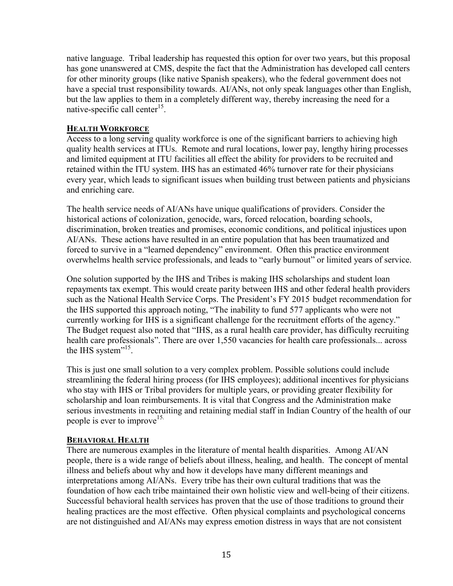native language. Tribal leadership has requested this option for over two years, but this proposal has gone unanswered at CMS, despite the fact that the Administration has developed call centers for other minority groups (like native Spanish speakers), who the federal government does not have a special trust responsibility towards. AI/ANs, not only speak languages other than English, but the law applies to them in a completely different way, thereby increasing the need for a native-specific call center<sup>15</sup>.

#### **HEALTH WORKFORCE**

Access to a long serving quality workforce is one of the significant barriers to achieving high quality health services at ITUs. Remote and rural locations, lower pay, lengthy hiring processes and limited equipment at ITU facilities all effect the ability for providers to be recruited and retained within the ITU system. IHS has an estimated 46% turnover rate for their physicians every year, which leads to significant issues when building trust between patients and physicians and enriching care.

The health service needs of AI/ANs have unique qualifications of providers. Consider the historical actions of colonization, genocide, wars, forced relocation, boarding schools, discrimination, broken treaties and promises, economic conditions, and political injustices upon AI/ANs. These actions have resulted in an entire population that has been traumatized and forced to survive in a "learned dependency" environment. Often this practice environment overwhelms health service professionals, and leads to "early burnout" or limited years of service.

One solution supported by the IHS and Tribes is making IHS scholarships and student loan repayments tax exempt. This would create parity between IHS and other federal health providers such as the National Health Service Corps. The President's FY 2015 budget recommendation for the IHS supported this approach noting, "The inability to fund 577 applicants who were not currently working for IHS is a significant challenge for the recruitment efforts of the agency." The Budget request also noted that "IHS, as a rural health care provider, has difficulty recruiting health care professionals". There are over 1,550 vacancies for health care professionals... across the IHS system"<sup>15</sup>.

This is just one small solution to a very complex problem. Possible solutions could include streamlining the federal hiring process (for IHS employees); additional incentives for physicians who stay with IHS or Tribal providers for multiple years, or providing greater flexibility for scholarship and loan reimbursements. It is vital that Congress and the Administration make serious investments in recruiting and retaining medial staff in Indian Country of the health of our people is ever to improve<sup>15.</sup>

#### **BEHAVIORAL HEALTH**

There are numerous examples in the literature of mental health disparities. Among AI/AN people, there is a wide range of beliefs about illness, healing, and health. The concept of mental illness and beliefs about why and how it develops have many different meanings and interpretations among AI/ANs. Every tribe has their own cultural traditions that was the foundation of how each tribe maintained their own holistic view and well-being of their citizens. Successful behavioral health services has proven that the use of those traditions to ground their healing practices are the most effective. Often physical complaints and psychological concerns are not distinguished and AI/ANs may express emotion distress in ways that are not consistent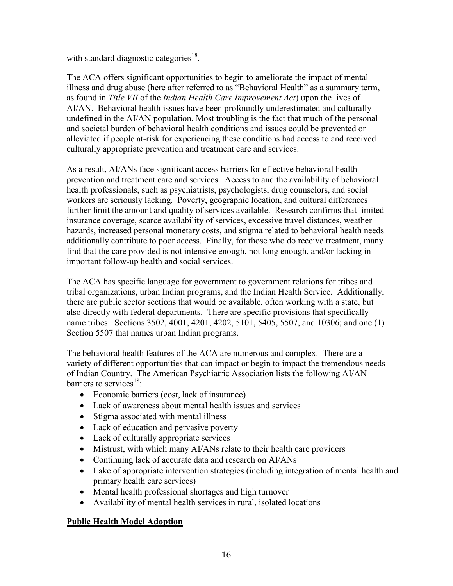with standard diagnostic categories<sup>18</sup>.

The ACA offers significant opportunities to begin to ameliorate the impact of mental illness and drug abuse (here after referred to as "Behavioral Health" as a summary term, as found in *Title VII* of the *Indian Health Care Improvement Act*) upon the lives of AI/AN. Behavioral health issues have been profoundly underestimated and culturally undefined in the AI/AN population. Most troubling is the fact that much of the personal and societal burden of behavioral health conditions and issues could be prevented or alleviated if people at-risk for experiencing these conditions had access to and received culturally appropriate prevention and treatment care and services.

As a result, AI/ANs face significant access barriers for effective behavioral health prevention and treatment care and services. Access to and the availability of behavioral health professionals, such as psychiatrists, psychologists, drug counselors, and social workers are seriously lacking. Poverty, geographic location, and cultural differences further limit the amount and quality of services available. Research confirms that limited insurance coverage, scarce availability of services, excessive travel distances, weather hazards, increased personal monetary costs, and stigma related to behavioral health needs additionally contribute to poor access. Finally, for those who do receive treatment, many find that the care provided is not intensive enough, not long enough, and/or lacking in important follow-up health and social services.

The ACA has specific language for government to government relations for tribes and tribal organizations, urban Indian programs, and the Indian Health Service. Additionally, there are public sector sections that would be available, often working with a state, but also directly with federal departments. There are specific provisions that specifically name tribes: Sections 3502, 4001, 4201, 4202, 5101, 5405, 5507, and 10306; and one (1) Section 5507 that names urban Indian programs.

The behavioral health features of the ACA are numerous and complex. There are a variety of different opportunities that can impact or begin to impact the tremendous needs of Indian Country. The American Psychiatric Association lists the following AI/AN barriers to services<sup>18</sup>:

- Economic barriers (cost, lack of insurance)
- Lack of awareness about mental health issues and services
- Stigma associated with mental illness
- Lack of education and pervasive poverty
- Lack of culturally appropriate services
- Mistrust, with which many AI/ANs relate to their health care providers
- Continuing lack of accurate data and research on AI/ANs
- Lake of appropriate intervention strategies (including integration of mental health and primary health care services)
- Mental health professional shortages and high turnover
- Availability of mental health services in rural, isolated locations

#### **Public Health Model Adoption**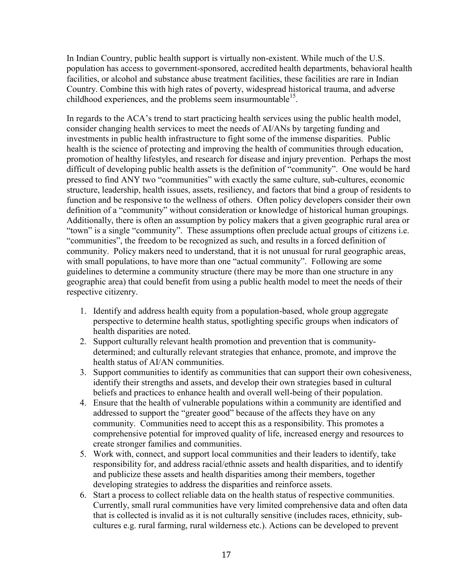In Indian Country, public health support is virtually non-existent. While much of the U.S. population has access to government-sponsored, accredited health departments, behavioral health facilities, or alcohol and substance abuse treatment facilities, these facilities are rare in Indian Country. Combine this with high rates of poverty, widespread historical trauma, and adverse childhood experiences, and the problems seem insurmountable<sup>15</sup>.

In regards to the ACA's trend to start practicing health services using the public health model, consider changing health services to meet the needs of AI/ANs by targeting funding and investments in public health infrastructure to fight some of the immense disparities. Public health is the science of protecting and improving the health of communities through education, promotion of healthy lifestyles, and research for disease and injury prevention. Perhaps the most difficult of developing public health assets is the definition of "community". One would be hard pressed to find ANY two "communities" with exactly the same culture, sub-cultures, economic structure, leadership, health issues, assets, resiliency, and factors that bind a group of residents to function and be responsive to the wellness of others. Often policy developers consider their own definition of a "community" without consideration or knowledge of historical human groupings. Additionally, there is often an assumption by policy makers that a given geographic rural area or "town" is a single "community". These assumptions often preclude actual groups of citizens i.e. "communities", the freedom to be recognized as such, and results in a forced definition of community. Policy makers need to understand, that it is not unusual for rural geographic areas, with small populations, to have more than one "actual community". Following are some guidelines to determine a community structure (there may be more than one structure in any geographic area) that could benefit from using a public health model to meet the needs of their respective citizenry.

- 1. Identify and address health equity from a population-based, whole group aggregate perspective to determine health status, spotlighting specific groups when indicators of health disparities are noted.
- 2. Support culturally relevant health promotion and prevention that is communitydetermined; and culturally relevant strategies that enhance, promote, and improve the health status of AI/AN communities.
- 3. Support communities to identify as communities that can support their own cohesiveness, identify their strengths and assets, and develop their own strategies based in cultural beliefs and practices to enhance health and overall well-being of their population.
- 4. Ensure that the health of vulnerable populations within a community are identified and addressed to support the "greater good" because of the affects they have on any community. Communities need to accept this as a responsibility. This promotes a comprehensive potential for improved quality of life, increased energy and resources to create stronger families and communities.
- 5. Work with, connect, and support local communities and their leaders to identify, take responsibility for, and address racial/ethnic assets and health disparities, and to identify and publicize these assets and health disparities among their members, together developing strategies to address the disparities and reinforce assets.
- 6. Start a process to collect reliable data on the health status of respective communities. Currently, small rural communities have very limited comprehensive data and often data that is collected is invalid as it is not culturally sensitive (includes races, ethnicity, subcultures e.g. rural farming, rural wilderness etc.). Actions can be developed to prevent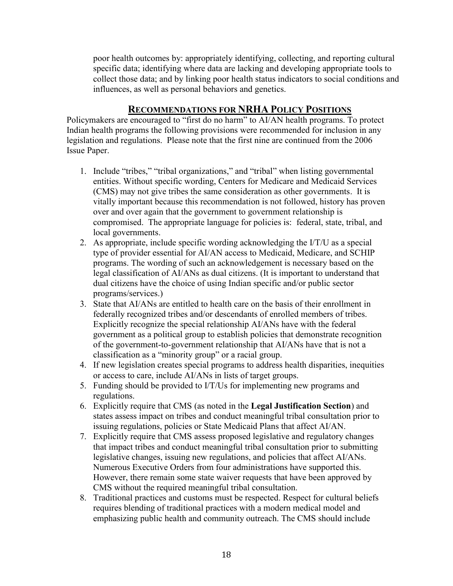poor health outcomes by: appropriately identifying, collecting, and reporting cultural specific data; identifying where data are lacking and developing appropriate tools to collect those data; and by linking poor health status indicators to social conditions and influences, as well as personal behaviors and genetics.

### **RECOMMENDATIONS FOR NRHA POLICY POSITIONS**

Policymakers are encouraged to "first do no harm" to AI/AN health programs. To protect Indian health programs the following provisions were recommended for inclusion in any legislation and regulations. Please note that the first nine are continued from the 2006 Issue Paper.

- 1. Include "tribes," "tribal organizations," and "tribal" when listing governmental entities. Without specific wording, Centers for Medicare and Medicaid Services (CMS) may not give tribes the same consideration as other governments. It is vitally important because this recommendation is not followed, history has proven over and over again that the government to government relationship is compromised. The appropriate language for policies is: federal, state, tribal, and local governments.
- 2. As appropriate, include specific wording acknowledging the I/T/U as a special type of provider essential for AI/AN access to Medicaid, Medicare, and SCHIP programs. The wording of such an acknowledgement is necessary based on the legal classification of AI/ANs as dual citizens. (It is important to understand that dual citizens have the choice of using Indian specific and/or public sector programs/services.)
- 3. State that AI/ANs are entitled to health care on the basis of their enrollment in federally recognized tribes and/or descendants of enrolled members of tribes. Explicitly recognize the special relationship AI/ANs have with the federal government as a political group to establish policies that demonstrate recognition of the government-to-government relationship that AI/ANs have that is not a classification as a "minority group" or a racial group.
- 4. If new legislation creates special programs to address health disparities, inequities or access to care, include AI/ANs in lists of target groups.
- 5. Funding should be provided to I/T/Us for implementing new programs and regulations.
- 6. Explicitly require that CMS (as noted in the **Legal Justification Section**) and states assess impact on tribes and conduct meaningful tribal consultation prior to issuing regulations, policies or State Medicaid Plans that affect AI/AN.
- 7. Explicitly require that CMS assess proposed legislative and regulatory changes that impact tribes and conduct meaningful tribal consultation prior to submitting legislative changes, issuing new regulations, and policies that affect AI/ANs. Numerous Executive Orders from four administrations have supported this. However, there remain some state waiver requests that have been approved by CMS without the required meaningful tribal consultation.
- 8. Traditional practices and customs must be respected. Respect for cultural beliefs requires blending of traditional practices with a modern medical model and emphasizing public health and community outreach. The CMS should include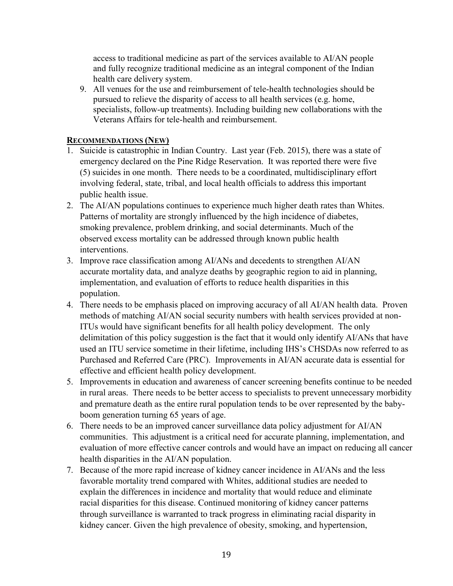access to traditional medicine as part of the services available to AI/AN people and fully recognize traditional medicine as an integral component of the Indian health care delivery system.

9. All venues for the use and reimbursement of tele-health technologies should be pursued to relieve the disparity of access to all health services (e.g. home, specialists, follow-up treatments). Including building new collaborations with the Veterans Affairs for tele-health and reimbursement.

#### **RECOMMENDATIONS (NEW)**

- 1. Suicide is catastrophic in Indian Country. Last year (Feb. 2015), there was a state of emergency declared on the Pine Ridge Reservation. It was reported there were five (5) suicides in one month. There needs to be a coordinated, multidisciplinary effort involving federal, state, tribal, and local health officials to address this important public health issue.
- 2. The AI/AN populations continues to experience much higher death rates than Whites. Patterns of mortality are strongly influenced by the high incidence of diabetes, smoking prevalence, problem drinking, and social determinants. Much of the observed excess mortality can be addressed through known public health interventions.
- 3. Improve race classification among AI/ANs and decedents to strengthen AI/AN accurate mortality data, and analyze deaths by geographic region to aid in planning, implementation, and evaluation of efforts to reduce health disparities in this population.
- 4. There needs to be emphasis placed on improving accuracy of all AI/AN health data. Proven methods of matching AI/AN social security numbers with health services provided at non-ITUs would have significant benefits for all health policy development. The only delimitation of this policy suggestion is the fact that it would only identify AI/ANs that have used an ITU service sometime in their lifetime, including IHS's CHSDAs now referred to as Purchased and Referred Care (PRC). Improvements in AI/AN accurate data is essential for effective and efficient health policy development.
- 5. Improvements in education and awareness of cancer screening benefits continue to be needed in rural areas. There needs to be better access to specialists to prevent unnecessary morbidity and premature death as the entire rural population tends to be over represented by the babyboom generation turning 65 years of age.
- 6. There needs to be an improved cancer surveillance data policy adjustment for AI/AN communities. This adjustment is a critical need for accurate planning, implementation, and evaluation of more effective cancer controls and would have an impact on reducing all cancer health disparities in the AI/AN population.
- 7. Because of the more rapid increase of kidney cancer incidence in AI/ANs and the less favorable mortality trend compared with Whites, additional studies are needed to explain the differences in incidence and mortality that would reduce and eliminate racial disparities for this disease. Continued monitoring of kidney cancer patterns through surveillance is warranted to track progress in eliminating racial disparity in kidney cancer. Given the high prevalence of obesity, smoking, and hypertension,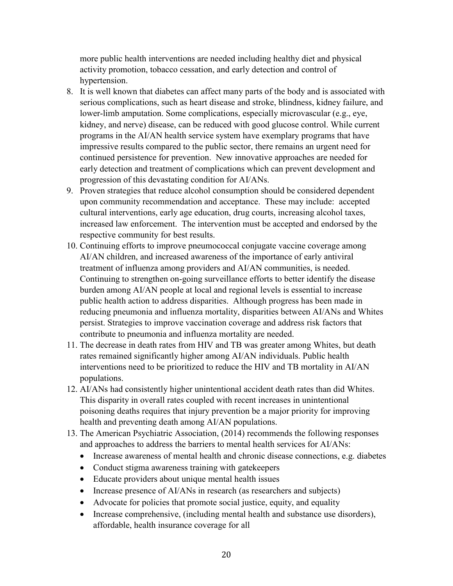more public health interventions are needed including healthy diet and physical activity promotion, tobacco cessation, and early detection and control of hypertension.

- 8. It is well known that diabetes can affect many parts of the body and is associated with serious complications, such as heart disease and stroke, blindness, kidney failure, and lower-limb amputation. Some complications, especially microvascular (e.g., eye, kidney, and nerve) disease, can be reduced with good glucose control. While current programs in the AI/AN health service system have exemplary programs that have impressive results compared to the public sector, there remains an urgent need for continued persistence for prevention. New innovative approaches are needed for early detection and treatment of complications which can prevent development and progression of this devastating condition for AI/ANs.
- 9. Proven strategies that reduce alcohol consumption should be considered dependent upon community recommendation and acceptance. These may include: accepted cultural interventions, early age education, drug courts, increasing alcohol taxes, increased law enforcement. The intervention must be accepted and endorsed by the respective community for best results.
- 10. Continuing efforts to improve pneumococcal conjugate vaccine coverage among AI/AN children, and increased awareness of the importance of early antiviral treatment of influenza among providers and AI/AN communities, is needed. Continuing to strengthen on-going surveillance efforts to better identify the disease burden among AI/AN people at local and regional levels is essential to increase public health action to address disparities. Although progress has been made in reducing pneumonia and influenza mortality, disparities between AI/ANs and Whites persist. Strategies to improve vaccination coverage and address risk factors that contribute to pneumonia and influenza mortality are needed.
- 11. The decrease in death rates from HIV and TB was greater among Whites, but death rates remained significantly higher among AI/AN individuals. Public health interventions need to be prioritized to reduce the HIV and TB mortality in AI/AN populations.
- 12. AI/ANs had consistently higher unintentional accident death rates than did Whites. This disparity in overall rates coupled with recent increases in unintentional poisoning deaths requires that injury prevention be a major priority for improving health and preventing death among AI/AN populations.
- 13. The American Psychiatric Association, (2014) recommends the following responses and approaches to address the barriers to mental health services for AI/ANs:
	- Increase awareness of mental health and chronic disease connections, e.g. diabetes
	- Conduct stigma awareness training with gatekeepers
	- Educate providers about unique mental health issues
	- Increase presence of AI/ANs in research (as researchers and subjects)
	- Advocate for policies that promote social justice, equity, and equality
	- Increase comprehensive, (including mental health and substance use disorders), affordable, health insurance coverage for all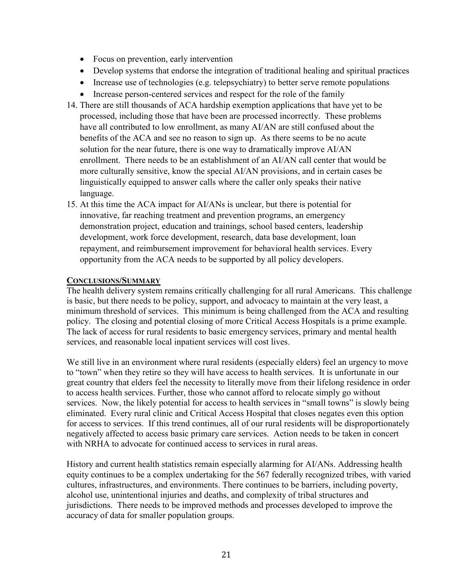- Focus on prevention, early intervention
- Develop systems that endorse the integration of traditional healing and spiritual practices
- Increase use of technologies (e.g. telepsychiatry) to better serve remote populations
- Increase person-centered services and respect for the role of the family
- 14. There are still thousands of ACA hardship exemption applications that have yet to be processed, including those that have been are processed incorrectly. These problems have all contributed to low enrollment, as many AI/AN are still confused about the benefits of the ACA and see no reason to sign up. As there seems to be no acute solution for the near future, there is one way to dramatically improve AI/AN enrollment. There needs to be an establishment of an AI/AN call center that would be more culturally sensitive, know the special AI/AN provisions, and in certain cases be linguistically equipped to answer calls where the caller only speaks their native language.
- 15. At this time the ACA impact for AI/ANs is unclear, but there is potential for innovative, far reaching treatment and prevention programs, an emergency demonstration project, education and trainings, school based centers, leadership development, work force development, research, data base development, loan repayment, and reimbursement improvement for behavioral health services. Every opportunity from the ACA needs to be supported by all policy developers.

#### **CONCLUSIONS/SUMMARY**

The health delivery system remains critically challenging for all rural Americans. This challenge is basic, but there needs to be policy, support, and advocacy to maintain at the very least, a minimum threshold of services. This minimum is being challenged from the ACA and resulting policy. The closing and potential closing of more Critical Access Hospitals is a prime example. The lack of access for rural residents to basic emergency services, primary and mental health services, and reasonable local inpatient services will cost lives.

We still live in an environment where rural residents (especially elders) feel an urgency to move to "town" when they retire so they will have access to health services. It is unfortunate in our great country that elders feel the necessity to literally move from their lifelong residence in order to access health services. Further, those who cannot afford to relocate simply go without services. Now, the likely potential for access to health services in "small towns" is slowly being eliminated. Every rural clinic and Critical Access Hospital that closes negates even this option for access to services. If this trend continues, all of our rural residents will be disproportionately negatively affected to access basic primary care services. Action needs to be taken in concert with NRHA to advocate for continued access to services in rural areas.

History and current health statistics remain especially alarming for AI/ANs. Addressing health equity continues to be a complex undertaking for the 567 federally recognized tribes, with varied cultures, infrastructures, and environments. There continues to be barriers, including poverty, alcohol use, unintentional injuries and deaths, and complexity of tribal structures and jurisdictions. There needs to be improved methods and processes developed to improve the accuracy of data for smaller population groups.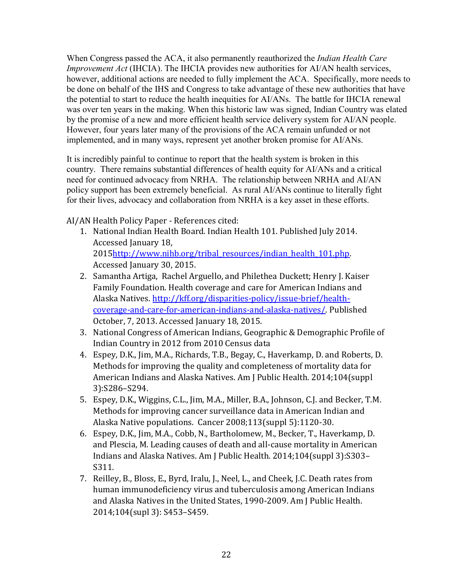When Congress passed the ACA, it also permanently reauthorized the *Indian Health Care Improvement Act* (IHCIA). The IHCIA provides new authorities for AI/AN health services, however, additional actions are needed to fully implement the ACA. Specifically, more needs to be done on behalf of the IHS and Congress to take advantage of these new authorities that have the potential to start to reduce the health inequities for AI/ANs. The battle for IHCIA renewal was over ten years in the making. When this historic law was signed, Indian Country was elated by the promise of a new and more efficient health service delivery system for AI/AN people. However, four years later many of the provisions of the ACA remain unfunded or not implemented, and in many ways, represent yet another broken promise for AI/ANs.

It is incredibly painful to continue to report that the health system is broken in this country. There remains substantial differences of health equity for AI/ANs and a critical need for continued advocacy from NRHA. The relationship between NRHA and AI/AN policy support has been extremely beneficial. As rural AI/ANs continue to literally fight for their lives, advocacy and collaboration from NRHA is a key asset in these efforts.

AI/AN Health Policy Paper - References cited:

- 1. National Indian Health Board. Indian Health 101. Published July 2014. Accessed January 18, 201[5http://www.nihb.org/tribal\\_resources/indian\\_health\\_101.php.](http://www.nihb.org/tribal_resources/indian_health_101.php) Accessed January 30, 2015.
- 2. Samantha Artiga, Rachel Arguello, and Philethea Duckett; Henry J. Kaiser Family Foundation. Health coverage and care for American Indians and Alaska Natives. [http://kff.org/disparities-policy/issue-brief/health](http://kff.org/disparities-policy/issue-brief/health-coverage-and-care-for-american-indians-and-alaska-natives/)[coverage-and-care-for-american-indians-and-alaska-natives/.](http://kff.org/disparities-policy/issue-brief/health-coverage-and-care-for-american-indians-and-alaska-natives/) Published October, 7, 2013. Accessed January 18, 2015.
- 3. National Congress of American Indians, Geographic & Demographic Profile of Indian Country in 2012 from 2010 Census data
- 4. Espey, D.K., Jim, M.A., Richards, T.B., Begay, C., Haverkamp, D. and Roberts, D. Methods for improving the quality and completeness of mortality data for American Indians and Alaska Natives. Am J Public Health. 2014;104(suppl 3):S286–S294.
- 5. Espey, D.K., Wiggins, C.L., Jim, M.A., Miller, B.A., Johnson, C.J. and Becker, T.M. Methods for improving cancer surveillance data in American Indian and Alaska Native populations. Cancer 2008;113(suppl 5):1120-30.
- 6. Espey, D.K., Jim, M.A., Cobb, N., Bartholomew, M., Becker, T., Haverkamp, D. and Plescia, M. Leading causes of death and all-cause mortality in American Indians and Alaska Natives. Am J Public Health. 2014;104(suppl 3):S303– S311.
- 7. Reilley, B., Bloss, E., Byrd, Iralu, J., Neel, L., and Cheek, J.C. Death rates from human immunodeficiency virus and tuberculosis among American Indians and Alaska Natives in the United States, 1990-2009. Am J Public Health. 2014;104(supl 3): S453–S459.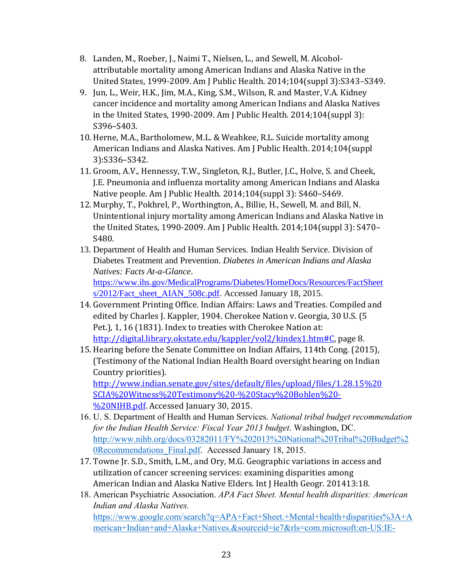- 8. Landen, M., Roeber, J., Naimi T., Nielsen, L., and Sewell, M. Alcoholattributable mortality among American Indians and Alaska Native in the United States, 1999-2009. Am J Public Health. 2014;104(suppl 3):S343–S349.
- 9. Jun, L., Weir, H.K., Jim, M.A., King, S.M., Wilson, R. and Master, V.A. Kidney cancer incidence and mortality among American Indians and Alaska Natives in the United States, 1990-2009. Am J Public Health. 2014;104(suppl 3): S396–S403.
- 10. Herne, M.A., Bartholomew, M.L. & Weahkee, R.L. Suicide mortality among American Indians and Alaska Natives. Am J Public Health. 2014;104(suppl 3):S336–S342.
- 11. Groom, A.V., Hennessy, T.W., Singleton, R.J., Butler, J.C., Holve, S. and Cheek, J.E. Pneumonia and influenza mortality among American Indians and Alaska Native people. Am J Public Health. 2014;104(suppl 3): S460–S469.
- 12. Murphy, T., Pokhrel, P., Worthington, A., Billie, H., Sewell, M. and Bill, N. Unintentional injury mortality among American Indians and Alaska Native in the United States, 1990-2009. Am J Public Health. 2014;104(suppl 3): S470– S480.
- 13. Department of Health and Human Services. Indian Health Service. Division of Diabetes Treatment and Prevention. *Diabetes in American Indians and Alaska Natives: Facts At-a-Glance*. [https://www.ihs.gov/MedicalPrograms/Diabetes/HomeDocs/Resources/FactSheet](https://www.ihs.gov/MedicalPrograms/Diabetes/HomeDocs/Resources/FactSheets/2012/Fact_sheet_AIAN_508c.pdf) [s/2012/Fact\\_sheet\\_AIAN\\_508c.pdf.](https://www.ihs.gov/MedicalPrograms/Diabetes/HomeDocs/Resources/FactSheets/2012/Fact_sheet_AIAN_508c.pdf) Accessed January 18, 2015.
- 14. Government Printing Office. Indian Affairs: Laws and Treaties. Compiled and edited by Charles J. Kappler, 1904. Cherokee Nation v. Georgia, 30 U.S. (5 Pet.), 1, 16 (1831). Index to treaties with Cherokee Nation at: [http://digital.library.okstate.edu/kappler/vol2/kindex1.htm#C,](http://digital.library.okstate.edu/kappler/vol2/kindex1.htm#C) page 8.
- 15. Hearing before the Senate Committee on Indian Affairs, 114th Cong. (2015), (Testimony of the National Indian Health Board oversight hearing on Indian Country priorities). [http://www.indian.senate.gov/sites/default/files/upload/files/1.28.15%20](http://www.indian.senate.gov/sites/default/files/upload/files/1.28.15%20SCIA%20Witness%20Testimony%20-%20Stacy%20Bohlen%20-%20NIHB.pdf) [SCIA%20Witness%20Testimony%20-%20Stacy%20Bohlen%20-](http://www.indian.senate.gov/sites/default/files/upload/files/1.28.15%20SCIA%20Witness%20Testimony%20-%20Stacy%20Bohlen%20-%20NIHB.pdf)
	- [%20NIHB.pdf.](http://www.indian.senate.gov/sites/default/files/upload/files/1.28.15%20SCIA%20Witness%20Testimony%20-%20Stacy%20Bohlen%20-%20NIHB.pdf) Accessed January 30, 2015.
- 16. U. S. Department of Health and Human Services. *National tribal budget recommendation for the Indian Health Service: Fiscal Year 2013 budget*. Washington, DC. [http://www.nihb.org/docs/03282011/FY%202013%20National%20Tribal%20Budget%2](http://www.nihb.org/docs/03282011/FY%202013%20National%20Tribal%20Budget%20Recommendations_Final.pdf) [0Recommendations\\_Final.pdf.](http://www.nihb.org/docs/03282011/FY%202013%20National%20Tribal%20Budget%20Recommendations_Final.pdf) Accessed January 18, 2015.
- 17. Towne Jr. S.D., Smith, L.M., and Ory, M.G. Geographic variations in access and utilization of cancer screening services: examining disparities among American Indian and Alaska Native Elders. Int J Health Geogr. 201413:18.
- 18. American Psychiatric Association. *APA Fact Sheet. Mental health disparities: American Indian and Alaska Natives.* [https://www.google.com/search?q=APA+Fact+Sheet.+Mental+health+disparities%3A+A](https://www.google.com/search?q=APA+Fact+Sheet.+Mental+health+disparities%3A+American+Indian+and+Alaska+Natives.&sourceid=ie7&rls=com.microsoft:en-US:IE-Address&ie=&oe=&rlz=1I7RVEB_enUS634&gws_rd=ssl) [merican+Indian+and+Alaska+Natives.&sourceid=ie7&rls=com.microsoft:en-US:IE-](https://www.google.com/search?q=APA+Fact+Sheet.+Mental+health+disparities%3A+American+Indian+and+Alaska+Natives.&sourceid=ie7&rls=com.microsoft:en-US:IE-Address&ie=&oe=&rlz=1I7RVEB_enUS634&gws_rd=ssl)